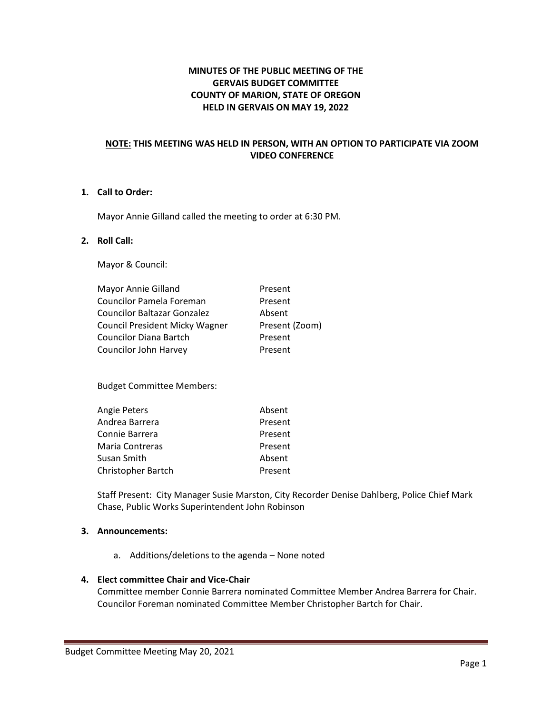# **MINUTES OF THE PUBLIC MEETING OF THE GERVAIS BUDGET COMMITTEE COUNTY OF MARION, STATE OF OREGON HELD IN GERVAIS ON MAY 19, 2022**

## **NOTE: THIS MEETING WAS HELD IN PERSON, WITH AN OPTION TO PARTICIPATE VIA ZOOM VIDEO CONFERENCE**

# **1. Call to Order:**

Mayor Annie Gilland called the meeting to order at 6:30 PM.

#### **2. Roll Call:**

Mayor & Council:

| Mayor Annie Gilland                   | Present        |
|---------------------------------------|----------------|
| Councilor Pamela Foreman              | Present        |
| <b>Councilor Baltazar Gonzalez</b>    | Absent         |
| <b>Council President Micky Wagner</b> | Present (Zoom) |
| <b>Councilor Diana Bartch</b>         | Present        |
| Councilor John Harvey                 | Present        |

Budget Committee Members:

| Angie Peters              | Absent  |
|---------------------------|---------|
| Andrea Barrera            | Present |
| Connie Barrera            | Present |
| Maria Contreras           | Present |
| Susan Smith               | Absent  |
| <b>Christopher Bartch</b> | Present |

Staff Present: City Manager Susie Marston, City Recorder Denise Dahlberg, Police Chief Mark Chase, Public Works Superintendent John Robinson

### **3. Announcements:**

a. Additions/deletions to the agenda – None noted

#### **4. Elect committee Chair and Vice-Chair**

Committee member Connie Barrera nominated Committee Member Andrea Barrera for Chair. Councilor Foreman nominated Committee Member Christopher Bartch for Chair.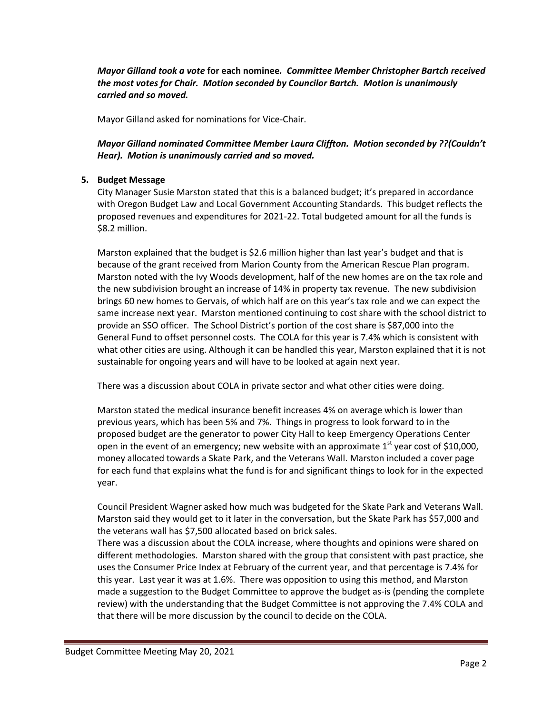*Mayor Gilland took a vote* **for each nominee***. Committee Member Christopher Bartch received the most votes for Chair. Motion seconded by Councilor Bartch. Motion is unanimously carried and so moved.*

Mayor Gilland asked for nominations for Vice-Chair.

*Mayor Gilland nominated Committee Member Laura Cliffton. Motion seconded by ??(Couldn't Hear). Motion is unanimously carried and so moved.*

### **5. Budget Message**

City Manager Susie Marston stated that this is a balanced budget; it's prepared in accordance with Oregon Budget Law and Local Government Accounting Standards. This budget reflects the proposed revenues and expenditures for 2021-22. Total budgeted amount for all the funds is \$8.2 million.

Marston explained that the budget is \$2.6 million higher than last year's budget and that is because of the grant received from Marion County from the American Rescue Plan program. Marston noted with the Ivy Woods development, half of the new homes are on the tax role and the new subdivision brought an increase of 14% in property tax revenue. The new subdivision brings 60 new homes to Gervais, of which half are on this year's tax role and we can expect the same increase next year. Marston mentioned continuing to cost share with the school district to provide an SSO officer. The School District's portion of the cost share is \$87,000 into the General Fund to offset personnel costs. The COLA for this year is 7.4% which is consistent with what other cities are using. Although it can be handled this year, Marston explained that it is not sustainable for ongoing years and will have to be looked at again next year.

There was a discussion about COLA in private sector and what other cities were doing.

Marston stated the medical insurance benefit increases 4% on average which is lower than previous years, which has been 5% and 7%. Things in progress to look forward to in the proposed budget are the generator to power City Hall to keep Emergency Operations Center open in the event of an emergency; new website with an approximate  $1<sup>st</sup>$  year cost of \$10,000, money allocated towards a Skate Park, and the Veterans Wall. Marston included a cover page for each fund that explains what the fund is for and significant things to look for in the expected year.

Council President Wagner asked how much was budgeted for the Skate Park and Veterans Wall. Marston said they would get to it later in the conversation, but the Skate Park has \$57,000 and the veterans wall has \$7,500 allocated based on brick sales.

There was a discussion about the COLA increase, where thoughts and opinions were shared on different methodologies. Marston shared with the group that consistent with past practice, she uses the Consumer Price Index at February of the current year, and that percentage is 7.4% for this year. Last year it was at 1.6%. There was opposition to using this method, and Marston made a suggestion to the Budget Committee to approve the budget as-is (pending the complete review) with the understanding that the Budget Committee is not approving the 7.4% COLA and that there will be more discussion by the council to decide on the COLA.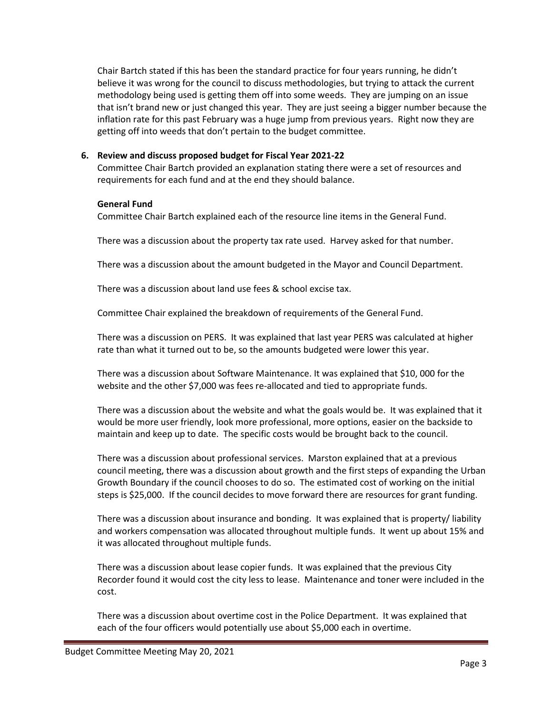Chair Bartch stated if this has been the standard practice for four years running, he didn't believe it was wrong for the council to discuss methodologies, but trying to attack the current methodology being used is getting them off into some weeds. They are jumping on an issue that isn't brand new or just changed this year. They are just seeing a bigger number because the inflation rate for this past February was a huge jump from previous years. Right now they are getting off into weeds that don't pertain to the budget committee.

## **6. Review and discuss proposed budget for Fiscal Year 2021-22**

Committee Chair Bartch provided an explanation stating there were a set of resources and requirements for each fund and at the end they should balance.

#### **General Fund**

Committee Chair Bartch explained each of the resource line items in the General Fund.

There was a discussion about the property tax rate used. Harvey asked for that number.

There was a discussion about the amount budgeted in the Mayor and Council Department.

There was a discussion about land use fees & school excise tax.

Committee Chair explained the breakdown of requirements of the General Fund.

There was a discussion on PERS. It was explained that last year PERS was calculated at higher rate than what it turned out to be, so the amounts budgeted were lower this year.

There was a discussion about Software Maintenance. It was explained that \$10, 000 for the website and the other \$7,000 was fees re-allocated and tied to appropriate funds.

There was a discussion about the website and what the goals would be. It was explained that it would be more user friendly, look more professional, more options, easier on the backside to maintain and keep up to date. The specific costs would be brought back to the council.

There was a discussion about professional services. Marston explained that at a previous council meeting, there was a discussion about growth and the first steps of expanding the Urban Growth Boundary if the council chooses to do so. The estimated cost of working on the initial steps is \$25,000. If the council decides to move forward there are resources for grant funding.

There was a discussion about insurance and bonding. It was explained that is property/ liability and workers compensation was allocated throughout multiple funds. It went up about 15% and it was allocated throughout multiple funds.

There was a discussion about lease copier funds. It was explained that the previous City Recorder found it would cost the city less to lease. Maintenance and toner were included in the cost.

There was a discussion about overtime cost in the Police Department. It was explained that each of the four officers would potentially use about \$5,000 each in overtime.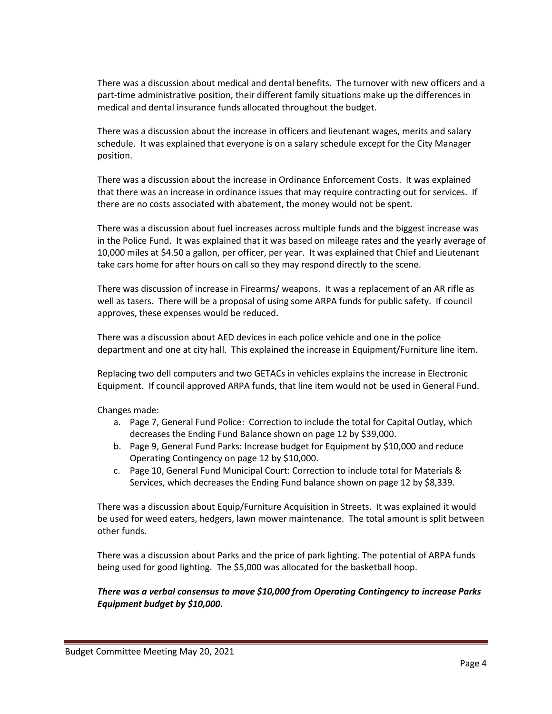There was a discussion about medical and dental benefits. The turnover with new officers and a part-time administrative position, their different family situations make up the differences in medical and dental insurance funds allocated throughout the budget.

There was a discussion about the increase in officers and lieutenant wages, merits and salary schedule. It was explained that everyone is on a salary schedule except for the City Manager position.

There was a discussion about the increase in Ordinance Enforcement Costs. It was explained that there was an increase in ordinance issues that may require contracting out for services. If there are no costs associated with abatement, the money would not be spent.

There was a discussion about fuel increases across multiple funds and the biggest increase was in the Police Fund. It was explained that it was based on mileage rates and the yearly average of 10,000 miles at \$4.50 a gallon, per officer, per year. It was explained that Chief and Lieutenant take cars home for after hours on call so they may respond directly to the scene.

There was discussion of increase in Firearms/ weapons. It was a replacement of an AR rifle as well as tasers. There will be a proposal of using some ARPA funds for public safety. If council approves, these expenses would be reduced.

There was a discussion about AED devices in each police vehicle and one in the police department and one at city hall. This explained the increase in Equipment/Furniture line item.

Replacing two dell computers and two GETACs in vehicles explains the increase in Electronic Equipment. If council approved ARPA funds, that line item would not be used in General Fund.

Changes made:

- a. Page 7, General Fund Police: Correction to include the total for Capital Outlay, which decreases the Ending Fund Balance shown on page 12 by \$39,000.
- b. Page 9, General Fund Parks: Increase budget for Equipment by \$10,000 and reduce Operating Contingency on page 12 by \$10,000.
- c. Page 10, General Fund Municipal Court: Correction to include total for Materials & Services, which decreases the Ending Fund balance shown on page 12 by \$8,339.

There was a discussion about Equip/Furniture Acquisition in Streets. It was explained it would be used for weed eaters, hedgers, lawn mower maintenance. The total amount is split between other funds.

There was a discussion about Parks and the price of park lighting. The potential of ARPA funds being used for good lighting. The \$5,000 was allocated for the basketball hoop.

### *There was a verbal consensus to move \$10,000 from Operating Contingency to increase Parks Equipment budget by \$10,000.*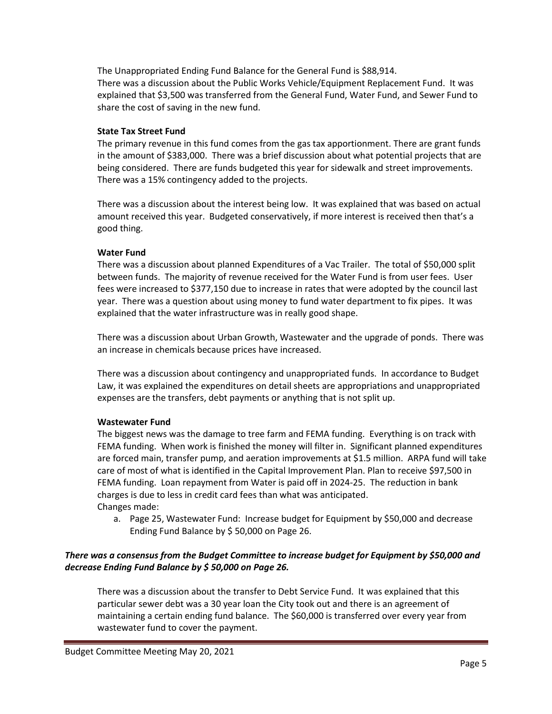The Unappropriated Ending Fund Balance for the General Fund is \$88,914. There was a discussion about the Public Works Vehicle/Equipment Replacement Fund. It was explained that \$3,500 was transferred from the General Fund, Water Fund, and Sewer Fund to share the cost of saving in the new fund.

## **State Tax Street Fund**

The primary revenue in this fund comes from the gas tax apportionment. There are grant funds in the amount of \$383,000. There was a brief discussion about what potential projects that are being considered. There are funds budgeted this year for sidewalk and street improvements. There was a 15% contingency added to the projects.

There was a discussion about the interest being low. It was explained that was based on actual amount received this year. Budgeted conservatively, if more interest is received then that's a good thing.

### **Water Fund**

There was a discussion about planned Expenditures of a Vac Trailer. The total of \$50,000 split between funds. The majority of revenue received for the Water Fund is from user fees. User fees were increased to \$377,150 due to increase in rates that were adopted by the council last year. There was a question about using money to fund water department to fix pipes. It was explained that the water infrastructure was in really good shape.

There was a discussion about Urban Growth, Wastewater and the upgrade of ponds. There was an increase in chemicals because prices have increased.

There was a discussion about contingency and unappropriated funds. In accordance to Budget Law, it was explained the expenditures on detail sheets are appropriations and unappropriated expenses are the transfers, debt payments or anything that is not split up.

#### **Wastewater Fund**

The biggest news was the damage to tree farm and FEMA funding. Everything is on track with FEMA funding. When work is finished the money will filter in. Significant planned expenditures are forced main, transfer pump, and aeration improvements at \$1.5 million. ARPA fund will take care of most of what is identified in the Capital Improvement Plan. Plan to receive \$97,500 in FEMA funding. Loan repayment from Water is paid off in 2024-25. The reduction in bank charges is due to less in credit card fees than what was anticipated. Changes made:

a. Page 25, Wastewater Fund: Increase budget for Equipment by \$50,000 and decrease Ending Fund Balance by \$ 50,000 on Page 26.

## *There was a consensus from the Budget Committee to increase budget for Equipment by \$50,000 and decrease Ending Fund Balance by \$ 50,000 on Page 26.*

There was a discussion about the transfer to Debt Service Fund. It was explained that this particular sewer debt was a 30 year loan the City took out and there is an agreement of maintaining a certain ending fund balance. The \$60,000 is transferred over every year from wastewater fund to cover the payment.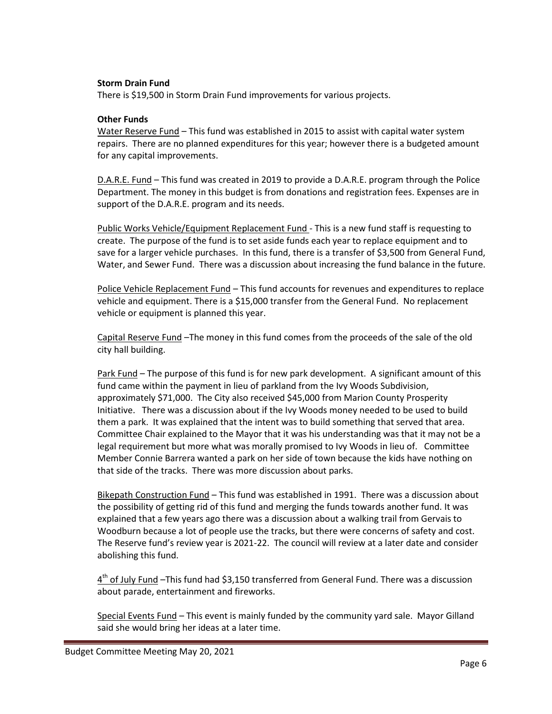#### **Storm Drain Fund**

There is \$19,500 in Storm Drain Fund improvements for various projects.

#### **Other Funds**

Water Reserve Fund – This fund was established in 2015 to assist with capital water system repairs. There are no planned expenditures for this year; however there is a budgeted amount for any capital improvements.

D.A.R.E. Fund – This fund was created in 2019 to provide a D.A.R.E. program through the Police Department. The money in this budget is from donations and registration fees. Expenses are in support of the D.A.R.E. program and its needs.

Public Works Vehicle/Equipment Replacement Fund - This is a new fund staff is requesting to create. The purpose of the fund is to set aside funds each year to replace equipment and to save for a larger vehicle purchases. In this fund, there is a transfer of \$3,500 from General Fund, Water, and Sewer Fund. There was a discussion about increasing the fund balance in the future.

Police Vehicle Replacement Fund – This fund accounts for revenues and expenditures to replace vehicle and equipment. There is a \$15,000 transfer from the General Fund. No replacement vehicle or equipment is planned this year.

Capital Reserve Fund –The money in this fund comes from the proceeds of the sale of the old city hall building.

Park Fund – The purpose of this fund is for new park development. A significant amount of this fund came within the payment in lieu of parkland from the Ivy Woods Subdivision, approximately \$71,000. The City also received \$45,000 from Marion County Prosperity Initiative. There was a discussion about if the Ivy Woods money needed to be used to build them a park. It was explained that the intent was to build something that served that area. Committee Chair explained to the Mayor that it was his understanding was that it may not be a legal requirement but more what was morally promised to Ivy Woods in lieu of. Committee Member Connie Barrera wanted a park on her side of town because the kids have nothing on that side of the tracks. There was more discussion about parks.

Bikepath Construction Fund – This fund was established in 1991. There was a discussion about the possibility of getting rid of this fund and merging the funds towards another fund. It was explained that a few years ago there was a discussion about a walking trail from Gervais to Woodburn because a lot of people use the tracks, but there were concerns of safety and cost. The Reserve fund's review year is 2021-22. The council will review at a later date and consider abolishing this fund.

4<sup>th</sup> of July Fund -This fund had \$3,150 transferred from General Fund. There was a discussion about parade, entertainment and fireworks.

Special Events Fund – This event is mainly funded by the community yard sale. Mayor Gilland said she would bring her ideas at a later time.